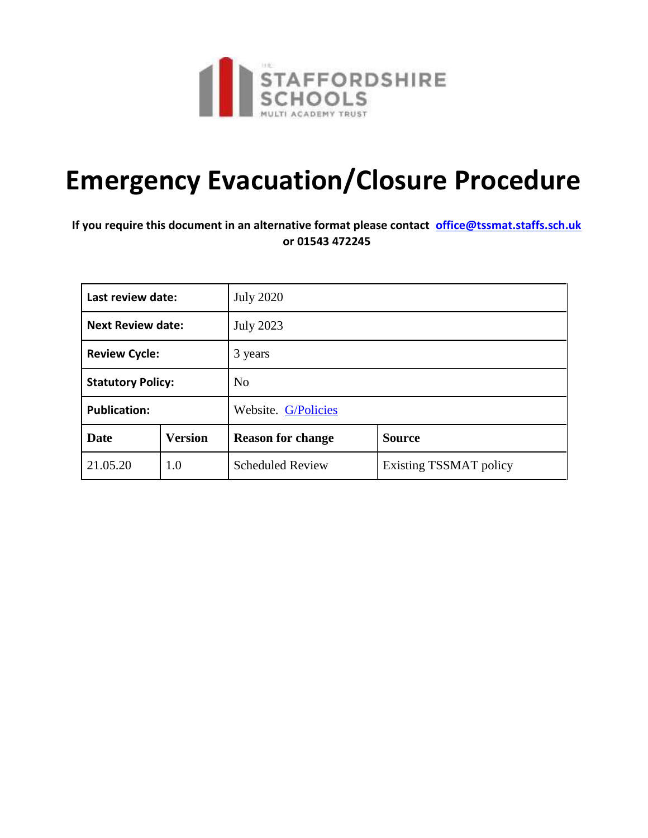

## **Emergency Evacuation/Closure Procedure**

## **If you require this document in an alternative format please contact office@tssmat.staffs.sch.uk or 01543 472245**

| Last review date:        |                | <b>July 2020</b>         |                               |
|--------------------------|----------------|--------------------------|-------------------------------|
| <b>Next Review date:</b> |                | <b>July 2023</b>         |                               |
| <b>Review Cycle:</b>     |                | 3 years                  |                               |
| <b>Statutory Policy:</b> |                | No                       |                               |
| <b>Publication:</b>      |                | Website. G/Policies      |                               |
| Date                     | <b>Version</b> | <b>Reason for change</b> | <b>Source</b>                 |
| 21.05.20                 | 1.0            | <b>Scheduled Review</b>  | <b>Existing TSSMAT policy</b> |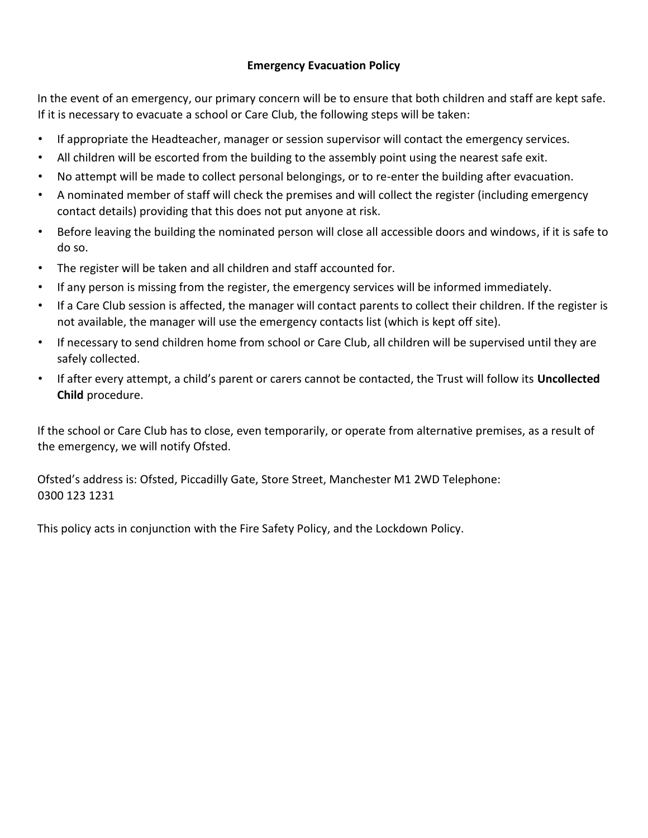## **Emergency Evacuation Policy**

In the event of an emergency, our primary concern will be to ensure that both children and staff are kept safe. If it is necessary to evacuate a school or Care Club, the following steps will be taken:

- If appropriate the Headteacher, manager or session supervisor will contact the emergency services.
- All children will be escorted from the building to the assembly point using the nearest safe exit.
- No attempt will be made to collect personal belongings, or to re-enter the building after evacuation.
- A nominated member of staff will check the premises and will collect the register (including emergency contact details) providing that this does not put anyone at risk.
- Before leaving the building the nominated person will close all accessible doors and windows, if it is safe to do so.
- The register will be taken and all children and staff accounted for.
- If any person is missing from the register, the emergency services will be informed immediately.
- If a Care Club session is affected, the manager will contact parents to collect their children. If the register is not available, the manager will use the emergency contacts list (which is kept off site).
- If necessary to send children home from school or Care Club, all children will be supervised until they are safely collected.
- If after every attempt, a child's parent or carers cannot be contacted, the Trust will follow its **Uncollected Child** procedure.

If the school or Care Club has to close, even temporarily, or operate from alternative premises, as a result of the emergency, we will notify Ofsted.

Ofsted's address is: Ofsted, Piccadilly Gate, Store Street, Manchester M1 2WD Telephone: 0300 123 1231

This policy acts in conjunction with the Fire Safety Policy, and the Lockdown Policy.